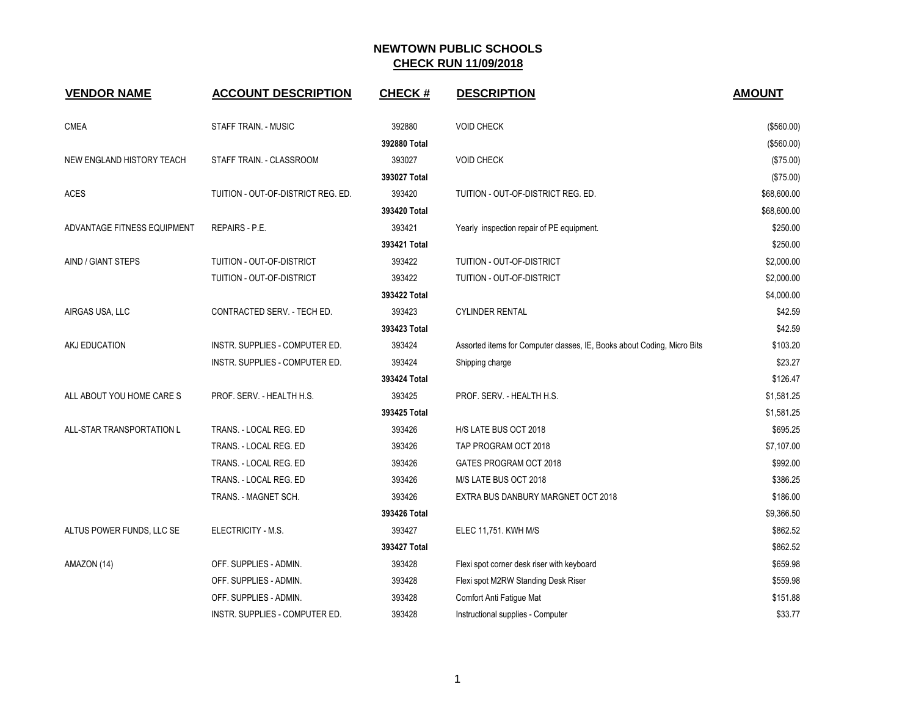| <b>VENDOR NAME</b>          | <b>ACCOUNT DESCRIPTION</b>         | <b>CHECK#</b> | <b>DESCRIPTION</b>                                                      | <b>AMOUNT</b> |
|-----------------------------|------------------------------------|---------------|-------------------------------------------------------------------------|---------------|
|                             |                                    |               |                                                                         |               |
| <b>CMEA</b>                 | STAFF TRAIN. - MUSIC               | 392880        | <b>VOID CHECK</b>                                                       | (\$560.00)    |
|                             |                                    | 392880 Total  |                                                                         | (\$560.00)    |
| NEW ENGLAND HISTORY TEACH   | STAFF TRAIN. - CLASSROOM           | 393027        | <b>VOID CHECK</b>                                                       | (\$75.00)     |
|                             |                                    | 393027 Total  |                                                                         | (\$75.00)     |
| <b>ACES</b>                 | TUITION - OUT-OF-DISTRICT REG. ED. | 393420        | TUITION - OUT-OF-DISTRICT REG. ED.                                      | \$68,600.00   |
|                             |                                    | 393420 Total  |                                                                         | \$68,600.00   |
| ADVANTAGE FITNESS EQUIPMENT | REPAIRS - P.E.                     | 393421        | Yearly inspection repair of PE equipment.                               | \$250.00      |
|                             |                                    | 393421 Total  |                                                                         | \$250.00      |
| AIND / GIANT STEPS          | TUITION - OUT-OF-DISTRICT          | 393422        | TUITION - OUT-OF-DISTRICT                                               | \$2,000.00    |
|                             | TUITION - OUT-OF-DISTRICT          | 393422        | TUITION - OUT-OF-DISTRICT                                               | \$2,000.00    |
|                             |                                    | 393422 Total  |                                                                         | \$4,000.00    |
| AIRGAS USA, LLC             | CONTRACTED SERV. - TECH ED.        | 393423        | <b>CYLINDER RENTAL</b>                                                  | \$42.59       |
|                             |                                    | 393423 Total  |                                                                         | \$42.59       |
| AKJ EDUCATION               | INSTR. SUPPLIES - COMPUTER ED.     | 393424        | Assorted items for Computer classes, IE, Books about Coding, Micro Bits | \$103.20      |
|                             | INSTR. SUPPLIES - COMPUTER ED.     | 393424        | Shipping charge                                                         | \$23.27       |
|                             |                                    | 393424 Total  |                                                                         | \$126.47      |
| ALL ABOUT YOU HOME CARE S   | PROF. SERV. - HEALTH H.S.          | 393425        | PROF. SERV. - HEALTH H.S.                                               | \$1,581.25    |
|                             |                                    | 393425 Total  |                                                                         | \$1,581.25    |
| ALL-STAR TRANSPORTATION L   | TRANS. - LOCAL REG. ED             | 393426        | H/S LATE BUS OCT 2018                                                   | \$695.25      |
|                             | TRANS. - LOCAL REG. ED             | 393426        | TAP PROGRAM OCT 2018                                                    | \$7,107.00    |
|                             | TRANS. - LOCAL REG. ED             | 393426        | GATES PROGRAM OCT 2018                                                  | \$992.00      |
|                             | TRANS. - LOCAL REG. ED             | 393426        | M/S LATE BUS OCT 2018                                                   | \$386.25      |
|                             | TRANS. - MAGNET SCH.               | 393426        | EXTRA BUS DANBURY MARGNET OCT 2018                                      | \$186.00      |
|                             |                                    | 393426 Total  |                                                                         | \$9,366.50    |
| ALTUS POWER FUNDS, LLC SE   | ELECTRICITY - M.S.                 | 393427        | ELEC 11,751. KWH M/S                                                    | \$862.52      |
|                             |                                    | 393427 Total  |                                                                         | \$862.52      |
| AMAZON (14)                 | OFF. SUPPLIES - ADMIN.             | 393428        | Flexi spot corner desk riser with keyboard                              | \$659.98      |
|                             | OFF. SUPPLIES - ADMIN.             | 393428        | Flexi spot M2RW Standing Desk Riser                                     | \$559.98      |
|                             | OFF. SUPPLIES - ADMIN.             | 393428        | Comfort Anti Fatigue Mat                                                | \$151.88      |
|                             | INSTR. SUPPLIES - COMPUTER ED.     | 393428        | Instructional supplies - Computer                                       | \$33.77       |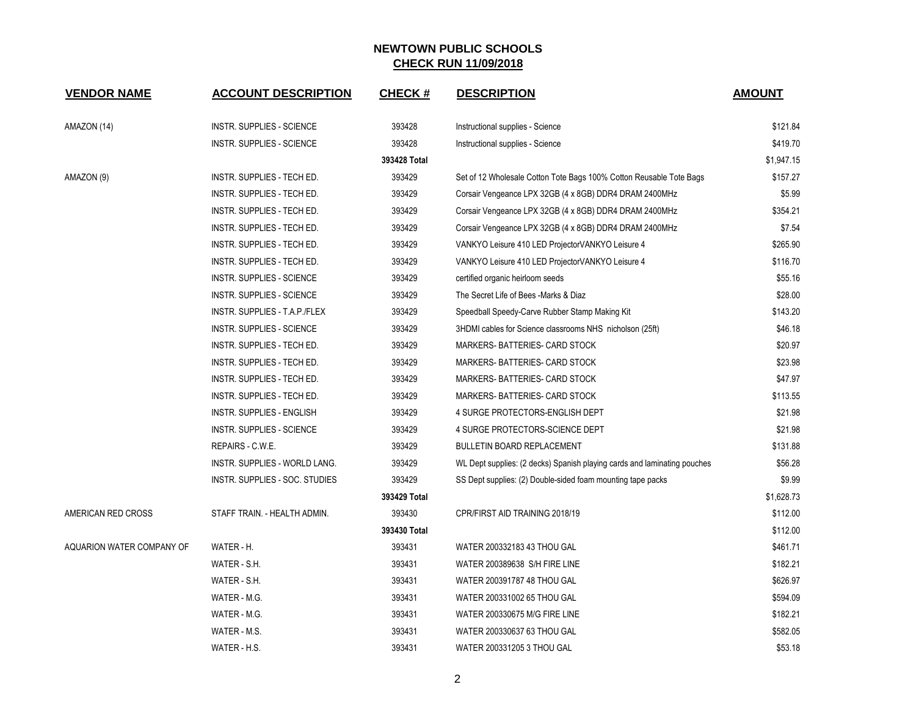| <b>VENDOR NAME</b>        | <b>ACCOUNT DESCRIPTION</b>       | <b>CHECK#</b> | <b>DESCRIPTION</b>                                                       | <b>AMOUNT</b> |
|---------------------------|----------------------------------|---------------|--------------------------------------------------------------------------|---------------|
| AMAZON (14)               | <b>INSTR. SUPPLIES - SCIENCE</b> | 393428        | Instructional supplies - Science                                         | \$121.84      |
|                           | INSTR. SUPPLIES - SCIENCE        | 393428        | Instructional supplies - Science                                         | \$419.70      |
|                           |                                  | 393428 Total  |                                                                          | \$1,947.15    |
| AMAZON (9)                | INSTR. SUPPLIES - TECH ED.       | 393429        | Set of 12 Wholesale Cotton Tote Bags 100% Cotton Reusable Tote Bags      | \$157.27      |
|                           | INSTR. SUPPLIES - TECH ED.       | 393429        | Corsair Vengeance LPX 32GB (4 x 8GB) DDR4 DRAM 2400MHz                   | \$5.99        |
|                           | INSTR. SUPPLIES - TECH ED.       | 393429        | Corsair Vengeance LPX 32GB (4 x 8GB) DDR4 DRAM 2400MHz                   | \$354.21      |
|                           | INSTR. SUPPLIES - TECH ED.       | 393429        | Corsair Vengeance LPX 32GB (4 x 8GB) DDR4 DRAM 2400MHz                   | \$7.54        |
|                           | INSTR. SUPPLIES - TECH ED.       | 393429        | VANKYO Leisure 410 LED ProjectorVANKYO Leisure 4                         | \$265.90      |
|                           | INSTR. SUPPLIES - TECH ED.       | 393429        | VANKYO Leisure 410 LED ProjectorVANKYO Leisure 4                         | \$116.70      |
|                           | INSTR. SUPPLIES - SCIENCE        | 393429        | certified organic heirloom seeds                                         | \$55.16       |
|                           | INSTR. SUPPLIES - SCIENCE        | 393429        | The Secret Life of Bees -Marks & Diaz                                    | \$28.00       |
|                           | INSTR. SUPPLIES - T.A.P./FLEX    | 393429        | Speedball Speedy-Carve Rubber Stamp Making Kit                           | \$143.20      |
|                           | INSTR. SUPPLIES - SCIENCE        | 393429        | 3HDMI cables for Science classrooms NHS nicholson (25ft)                 | \$46.18       |
|                           | INSTR. SUPPLIES - TECH ED.       | 393429        | MARKERS-BATTERIES- CARD STOCK                                            | \$20.97       |
|                           | INSTR. SUPPLIES - TECH ED.       | 393429        | MARKERS-BATTERIES- CARD STOCK                                            | \$23.98       |
|                           | INSTR. SUPPLIES - TECH ED.       | 393429        | MARKERS- BATTERIES- CARD STOCK                                           | \$47.97       |
|                           | INSTR. SUPPLIES - TECH ED.       | 393429        | MARKERS- BATTERIES- CARD STOCK                                           | \$113.55      |
|                           | INSTR. SUPPLIES - ENGLISH        | 393429        | 4 SURGE PROTECTORS-ENGLISH DEPT                                          | \$21.98       |
|                           | <b>INSTR. SUPPLIES - SCIENCE</b> | 393429        | 4 SURGE PROTECTORS-SCIENCE DEPT                                          | \$21.98       |
|                           | REPAIRS - C.W.E.                 | 393429        | <b>BULLETIN BOARD REPLACEMENT</b>                                        | \$131.88      |
|                           | INSTR. SUPPLIES - WORLD LANG.    | 393429        | WL Dept supplies: (2 decks) Spanish playing cards and laminating pouches | \$56.28       |
|                           | INSTR. SUPPLIES - SOC. STUDIES   | 393429        | SS Dept supplies: (2) Double-sided foam mounting tape packs              | \$9.99        |
|                           |                                  | 393429 Total  |                                                                          | \$1,628.73    |
| AMERICAN RED CROSS        | STAFF TRAIN. - HEALTH ADMIN.     | 393430        | CPR/FIRST AID TRAINING 2018/19                                           | \$112.00      |
|                           |                                  | 393430 Total  |                                                                          | \$112.00      |
| AQUARION WATER COMPANY OF | WATER - H.                       | 393431        | WATER 200332183 43 THOU GAL                                              | \$461.71      |
|                           | WATER - S.H.                     | 393431        | WATER 200389638 S/H FIRE LINE                                            | \$182.21      |
|                           | WATER - S.H.                     | 393431        | WATER 200391787 48 THOU GAL                                              | \$626.97      |
|                           | WATER - M.G.                     | 393431        | WATER 200331002 65 THOU GAL                                              | \$594.09      |
|                           | WATER - M.G.                     | 393431        | WATER 200330675 M/G FIRE LINE                                            | \$182.21      |
|                           | WATER - M.S.                     | 393431        | WATER 200330637 63 THOU GAL                                              | \$582.05      |
|                           | WATER - H.S.                     | 393431        | WATER 200331205 3 THOU GAL                                               | \$53.18       |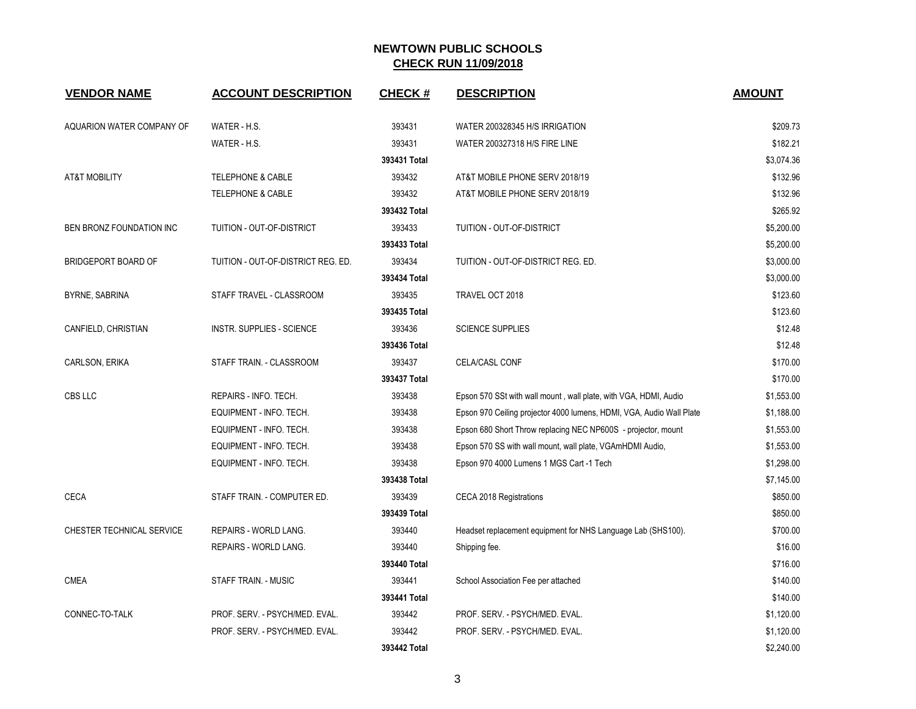| <b>VENDOR NAME</b>              | <b>ACCOUNT DESCRIPTION</b>         | <b>CHECK#</b> | <b>DESCRIPTION</b>                                                   | <b>AMOUNT</b> |
|---------------------------------|------------------------------------|---------------|----------------------------------------------------------------------|---------------|
| AQUARION WATER COMPANY OF       | WATER - H.S.                       | 393431        | WATER 200328345 H/S IRRIGATION                                       | \$209.73      |
|                                 | WATER - H.S.                       | 393431        | WATER 200327318 H/S FIRE LINE                                        | \$182.21      |
|                                 |                                    | 393431 Total  |                                                                      | \$3,074.36    |
| <b>AT&amp;T MOBILITY</b>        | <b>TELEPHONE &amp; CABLE</b>       | 393432        | AT&T MOBILE PHONE SERV 2018/19                                       | \$132.96      |
|                                 | <b>TELEPHONE &amp; CABLE</b>       | 393432        | AT&T MOBILE PHONE SERV 2018/19                                       | \$132.96      |
|                                 |                                    | 393432 Total  |                                                                      | \$265.92      |
| <b>BEN BRONZ FOUNDATION INC</b> | TUITION - OUT-OF-DISTRICT          | 393433        | TUITION - OUT-OF-DISTRICT                                            | \$5,200.00    |
|                                 |                                    | 393433 Total  |                                                                      | \$5,200.00    |
| <b>BRIDGEPORT BOARD OF</b>      | TUITION - OUT-OF-DISTRICT REG. ED. | 393434        | TUITION - OUT-OF-DISTRICT REG. ED.                                   | \$3,000.00    |
|                                 |                                    | 393434 Total  |                                                                      | \$3,000.00    |
| BYRNE, SABRINA                  | STAFF TRAVEL - CLASSROOM           | 393435        | TRAVEL OCT 2018                                                      | \$123.60      |
|                                 |                                    | 393435 Total  |                                                                      | \$123.60      |
| CANFIELD, CHRISTIAN             | INSTR. SUPPLIES - SCIENCE          | 393436        | <b>SCIENCE SUPPLIES</b>                                              | \$12.48       |
|                                 |                                    | 393436 Total  |                                                                      | \$12.48       |
| CARLSON, ERIKA                  | STAFF TRAIN. - CLASSROOM           | 393437        | CELA/CASL CONF                                                       | \$170.00      |
|                                 |                                    | 393437 Total  |                                                                      | \$170.00      |
| CBS LLC                         | REPAIRS - INFO. TECH.              | 393438        | Epson 570 SSt with wall mount, wall plate, with VGA, HDMI, Audio     | \$1,553.00    |
|                                 | EQUIPMENT - INFO. TECH.            | 393438        | Epson 970 Ceiling projector 4000 lumens, HDMI, VGA, Audio Wall Plate | \$1,188.00    |
|                                 | EQUIPMENT - INFO. TECH.            | 393438        | Epson 680 Short Throw replacing NEC NP600S - projector, mount        | \$1,553.00    |
|                                 | EQUIPMENT - INFO. TECH.            | 393438        | Epson 570 SS with wall mount, wall plate, VGAmHDMI Audio,            | \$1,553.00    |
|                                 | EQUIPMENT - INFO. TECH.            | 393438        | Epson 970 4000 Lumens 1 MGS Cart -1 Tech                             | \$1,298.00    |
|                                 |                                    | 393438 Total  |                                                                      | \$7,145.00    |
| <b>CECA</b>                     | STAFF TRAIN. - COMPUTER ED.        | 393439        | CECA 2018 Registrations                                              | \$850.00      |
|                                 |                                    | 393439 Total  |                                                                      | \$850.00      |
| CHESTER TECHNICAL SERVICE       | REPAIRS - WORLD LANG.              | 393440        | Headset replacement equipment for NHS Language Lab (SHS100).         | \$700.00      |
|                                 | REPAIRS - WORLD LANG.              | 393440        | Shipping fee.                                                        | \$16.00       |
|                                 |                                    | 393440 Total  |                                                                      | \$716.00      |
| <b>CMEA</b>                     | STAFF TRAIN. - MUSIC               | 393441        | School Association Fee per attached                                  | \$140.00      |
|                                 |                                    | 393441 Total  |                                                                      | \$140.00      |
| CONNEC-TO-TALK                  | PROF. SERV. - PSYCH/MED. EVAL.     | 393442        | PROF. SERV. - PSYCH/MED. EVAL.                                       | \$1,120.00    |
|                                 | PROF. SERV. - PSYCH/MED. EVAL.     | 393442        | PROF. SERV. - PSYCH/MED. EVAL.                                       | \$1,120.00    |
|                                 |                                    | 393442 Total  |                                                                      | \$2,240.00    |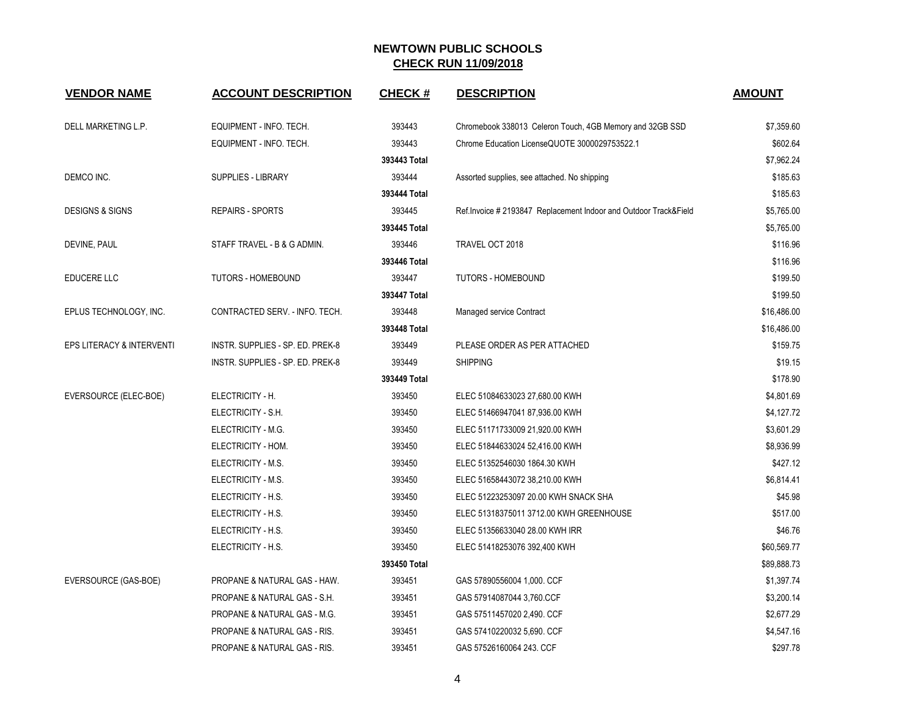| <b>VENDOR NAME</b>         | <b>ACCOUNT DESCRIPTION</b>              | <b>CHECK#</b> | <b>DESCRIPTION</b>                                                | <b>AMOUNT</b> |
|----------------------------|-----------------------------------------|---------------|-------------------------------------------------------------------|---------------|
| DELL MARKETING L.P.        | EQUIPMENT - INFO. TECH.                 | 393443        | Chromebook 338013 Celeron Touch, 4GB Memory and 32GB SSD          | \$7,359.60    |
|                            | EQUIPMENT - INFO. TECH.                 | 393443        | Chrome Education LicenseQUOTE 3000029753522.1                     | \$602.64      |
|                            |                                         | 393443 Total  |                                                                   | \$7,962.24    |
| DEMCO INC.                 | SUPPLIES - LIBRARY                      | 393444        | Assorted supplies, see attached. No shipping                      | \$185.63      |
|                            |                                         | 393444 Total  |                                                                   | \$185.63      |
| <b>DESIGNS &amp; SIGNS</b> | <b>REPAIRS - SPORTS</b>                 | 393445        | Ref. Invoice # 2193847 Replacement Indoor and Outdoor Track&Field | \$5,765.00    |
|                            |                                         | 393445 Total  |                                                                   | \$5,765.00    |
| DEVINE, PAUL               | STAFF TRAVEL - B & G ADMIN.             | 393446        | TRAVEL OCT 2018                                                   | \$116.96      |
|                            |                                         | 393446 Total  |                                                                   | \$116.96      |
| EDUCERE LLC                | <b>TUTORS - HOMEBOUND</b>               | 393447        | <b>TUTORS - HOMEBOUND</b>                                         | \$199.50      |
|                            |                                         | 393447 Total  |                                                                   | \$199.50      |
| EPLUS TECHNOLOGY, INC.     | CONTRACTED SERV. - INFO. TECH.          | 393448        | Managed service Contract                                          | \$16,486.00   |
|                            |                                         | 393448 Total  |                                                                   | \$16,486.00   |
| EPS LITERACY & INTERVENTI  | INSTR. SUPPLIES - SP. ED. PREK-8        | 393449        | PLEASE ORDER AS PER ATTACHED                                      | \$159.75      |
|                            | INSTR. SUPPLIES - SP. ED. PREK-8        | 393449        | <b>SHIPPING</b>                                                   | \$19.15       |
|                            |                                         | 393449 Total  |                                                                   | \$178.90      |
| EVERSOURCE (ELEC-BOE)      | ELECTRICITY - H.                        | 393450        | ELEC 51084633023 27,680.00 KWH                                    | \$4,801.69    |
|                            | ELECTRICITY - S.H.                      | 393450        | ELEC 51466947041 87,936.00 KWH                                    | \$4,127.72    |
|                            | ELECTRICITY - M.G.                      | 393450        | ELEC 51171733009 21,920.00 KWH                                    | \$3,601.29    |
|                            | ELECTRICITY - HOM.                      | 393450        | ELEC 51844633024 52,416.00 KWH                                    | \$8,936.99    |
|                            | ELECTRICITY - M.S.                      | 393450        | ELEC 51352546030 1864.30 KWH                                      | \$427.12      |
|                            | ELECTRICITY - M.S.                      | 393450        | ELEC 51658443072 38,210.00 KWH                                    | \$6,814.41    |
|                            | ELECTRICITY - H.S.                      | 393450        | ELEC 51223253097 20.00 KWH SNACK SHA                              | \$45.98       |
|                            | ELECTRICITY - H.S.                      | 393450        | ELEC 51318375011 3712.00 KWH GREENHOUSE                           | \$517.00      |
|                            | ELECTRICITY - H.S.                      | 393450        | ELEC 51356633040 28.00 KWH IRR                                    | \$46.76       |
|                            | ELECTRICITY - H.S.                      | 393450        | ELEC 51418253076 392,400 KWH                                      | \$60,569.77   |
|                            |                                         | 393450 Total  |                                                                   | \$89,888.73   |
| EVERSOURCE (GAS-BOE)       | PROPANE & NATURAL GAS - HAW.            | 393451        | GAS 57890556004 1,000. CCF                                        | \$1,397.74    |
|                            | PROPANE & NATURAL GAS - S.H.            | 393451        | GAS 57914087044 3,760 CCF                                         | \$3,200.14    |
|                            | PROPANE & NATURAL GAS - M.G.            | 393451        | GAS 57511457020 2,490. CCF                                        | \$2,677.29    |
|                            | PROPANE & NATURAL GAS - RIS.            | 393451        | GAS 57410220032 5,690. CCF                                        | \$4,547.16    |
|                            | <b>PROPANE &amp; NATURAL GAS - RIS.</b> | 393451        | GAS 57526160064 243. CCF                                          | \$297.78      |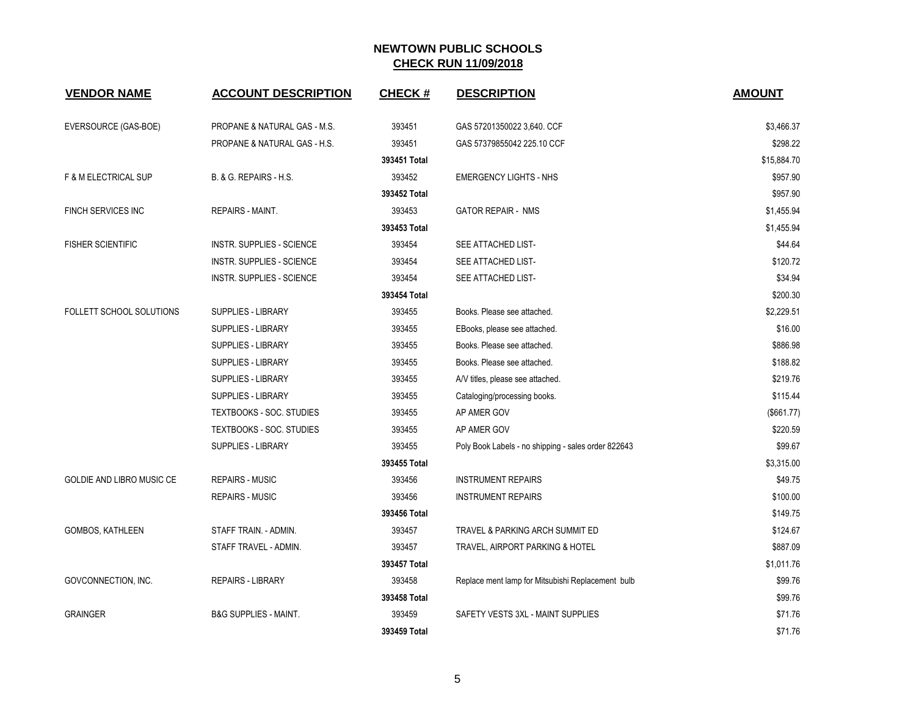| <b>VENDOR NAME</b>               | <b>ACCOUNT DESCRIPTION</b>       | <b>CHECK#</b> | <b>DESCRIPTION</b>                                  | <b>AMOUNT</b> |
|----------------------------------|----------------------------------|---------------|-----------------------------------------------------|---------------|
| EVERSOURCE (GAS-BOE)             | PROPANE & NATURAL GAS - M.S.     | 393451        | GAS 57201350022 3,640. CCF                          | \$3,466.37    |
|                                  | PROPANE & NATURAL GAS - H.S.     | 393451        | GAS 57379855042 225.10 CCF                          | \$298.22      |
|                                  |                                  | 393451 Total  |                                                     | \$15,884.70   |
| <b>F &amp; M ELECTRICAL SUP</b>  | B. & G. REPAIRS - H.S.           | 393452        | <b>EMERGENCY LIGHTS - NHS</b>                       | \$957.90      |
|                                  |                                  | 393452 Total  |                                                     | \$957.90      |
| <b>FINCH SERVICES INC</b>        | REPAIRS - MAINT.                 | 393453        | <b>GATOR REPAIR - NMS</b>                           | \$1,455.94    |
|                                  |                                  | 393453 Total  |                                                     | \$1,455.94    |
| <b>FISHER SCIENTIFIC</b>         | INSTR. SUPPLIES - SCIENCE        | 393454        | SEE ATTACHED LIST-                                  | \$44.64       |
|                                  | <b>INSTR. SUPPLIES - SCIENCE</b> | 393454        | SEE ATTACHED LIST-                                  | \$120.72      |
|                                  | <b>INSTR. SUPPLIES - SCIENCE</b> | 393454        | SEE ATTACHED LIST-                                  | \$34.94       |
|                                  |                                  | 393454 Total  |                                                     | \$200.30      |
| FOLLETT SCHOOL SOLUTIONS         | <b>SUPPLIES - LIBRARY</b>        | 393455        | Books. Please see attached.                         | \$2,229.51    |
|                                  | SUPPLIES - LIBRARY               | 393455        | EBooks, please see attached.                        | \$16.00       |
|                                  | <b>SUPPLIES - LIBRARY</b>        | 393455        | Books. Please see attached.                         | \$886.98      |
|                                  | SUPPLIES - LIBRARY               | 393455        | Books. Please see attached.                         | \$188.82      |
|                                  | SUPPLIES - LIBRARY               | 393455        | A/V titles, please see attached.                    | \$219.76      |
|                                  | SUPPLIES - LIBRARY               | 393455        | Cataloging/processing books.                        | \$115.44      |
|                                  | <b>TEXTBOOKS - SOC. STUDIES</b>  | 393455        | AP AMER GOV                                         | (\$661.77)    |
|                                  | <b>TEXTBOOKS - SOC. STUDIES</b>  | 393455        | AP AMER GOV                                         | \$220.59      |
|                                  | SUPPLIES - LIBRARY               | 393455        | Poly Book Labels - no shipping - sales order 822643 | \$99.67       |
|                                  |                                  | 393455 Total  |                                                     | \$3,315.00    |
| <b>GOLDIE AND LIBRO MUSIC CE</b> | <b>REPAIRS - MUSIC</b>           | 393456        | <b>INSTRUMENT REPAIRS</b>                           | \$49.75       |
|                                  | <b>REPAIRS - MUSIC</b>           | 393456        | <b>INSTRUMENT REPAIRS</b>                           | \$100.00      |
|                                  |                                  | 393456 Total  |                                                     | \$149.75      |
| GOMBOS, KATHLEEN                 | STAFF TRAIN. - ADMIN.            | 393457        | TRAVEL & PARKING ARCH SUMMIT ED                     | \$124.67      |
|                                  | STAFF TRAVEL - ADMIN.            | 393457        | TRAVEL, AIRPORT PARKING & HOTEL                     | \$887.09      |
|                                  |                                  | 393457 Total  |                                                     | \$1,011.76    |
| GOVCONNECTION, INC.              | <b>REPAIRS - LIBRARY</b>         | 393458        | Replace ment lamp for Mitsubishi Replacement bulb   | \$99.76       |
|                                  |                                  | 393458 Total  |                                                     | \$99.76       |
| <b>GRAINGER</b>                  | <b>B&amp;G SUPPLIES - MAINT.</b> | 393459        | SAFETY VESTS 3XL - MAINT SUPPLIES                   | \$71.76       |
|                                  |                                  | 393459 Total  |                                                     | \$71.76       |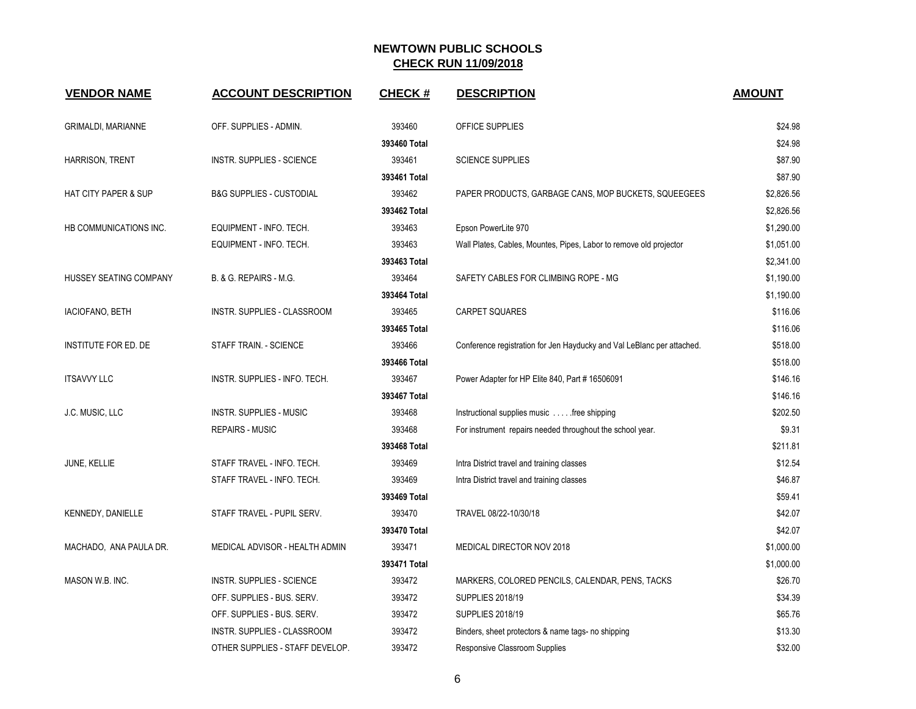| <b>VENDOR NAME</b>              | <b>ACCOUNT DESCRIPTION</b>          | <b>CHECK#</b> | <b>DESCRIPTION</b>                                                     | <b>AMOUNT</b> |
|---------------------------------|-------------------------------------|---------------|------------------------------------------------------------------------|---------------|
|                                 |                                     |               |                                                                        |               |
| <b>GRIMALDI, MARIANNE</b>       | OFF. SUPPLIES - ADMIN.              | 393460        | OFFICE SUPPLIES                                                        | \$24.98       |
|                                 |                                     | 393460 Total  |                                                                        | \$24.98       |
| HARRISON, TRENT                 | INSTR. SUPPLIES - SCIENCE           | 393461        | <b>SCIENCE SUPPLIES</b>                                                | \$87.90       |
|                                 |                                     | 393461 Total  |                                                                        | \$87.90       |
| <b>HAT CITY PAPER &amp; SUP</b> | <b>B&amp;G SUPPLIES - CUSTODIAL</b> | 393462        | PAPER PRODUCTS, GARBAGE CANS, MOP BUCKETS, SQUEEGEES                   | \$2,826.56    |
|                                 |                                     | 393462 Total  |                                                                        | \$2,826.56    |
| HB COMMUNICATIONS INC.          | EQUIPMENT - INFO. TECH.             | 393463        | Epson PowerLite 970                                                    | \$1,290.00    |
|                                 | EQUIPMENT - INFO. TECH.             | 393463        | Wall Plates, Cables, Mountes, Pipes, Labor to remove old projector     | \$1,051.00    |
|                                 |                                     | 393463 Total  |                                                                        | \$2,341.00    |
| HUSSEY SEATING COMPANY          | B. & G. REPAIRS - M.G.              | 393464        | SAFETY CABLES FOR CLIMBING ROPE - MG                                   | \$1,190.00    |
|                                 |                                     | 393464 Total  |                                                                        | \$1,190.00    |
| <b>IACIOFANO, BETH</b>          | <b>INSTR. SUPPLIES - CLASSROOM</b>  | 393465        | <b>CARPET SQUARES</b>                                                  | \$116.06      |
|                                 |                                     | 393465 Total  |                                                                        | \$116.06      |
| INSTITUTE FOR ED. DE            | STAFF TRAIN. - SCIENCE              | 393466        | Conference registration for Jen Hayducky and Val LeBlanc per attached. | \$518.00      |
|                                 |                                     | 393466 Total  |                                                                        | \$518.00      |
| <b>ITSAVVY LLC</b>              | INSTR. SUPPLIES - INFO. TECH.       | 393467        | Power Adapter for HP Elite 840, Part # 16506091                        | \$146.16      |
|                                 |                                     | 393467 Total  |                                                                        | \$146.16      |
| J.C. MUSIC, LLC                 | <b>INSTR. SUPPLIES - MUSIC</b>      | 393468        | Instructional supplies music  free shipping                            | \$202.50      |
|                                 | <b>REPAIRS - MUSIC</b>              | 393468        | For instrument repairs needed throughout the school year.              | \$9.31        |
|                                 |                                     | 393468 Total  |                                                                        | \$211.81      |
| JUNE, KELLIE                    | STAFF TRAVEL - INFO. TECH.          | 393469        | Intra District travel and training classes                             | \$12.54       |
|                                 | STAFF TRAVEL - INFO. TECH.          | 393469        | Intra District travel and training classes                             | \$46.87       |
|                                 |                                     | 393469 Total  |                                                                        | \$59.41       |
| KENNEDY, DANIELLE               | STAFF TRAVEL - PUPIL SERV.          | 393470        | TRAVEL 08/22-10/30/18                                                  | \$42.07       |
|                                 |                                     | 393470 Total  |                                                                        | \$42.07       |
| MACHADO, ANA PAULA DR.          | MEDICAL ADVISOR - HEALTH ADMIN      | 393471        | MEDICAL DIRECTOR NOV 2018                                              | \$1,000.00    |
|                                 |                                     | 393471 Total  |                                                                        | \$1,000.00    |
| MASON W.B. INC.                 | INSTR. SUPPLIES - SCIENCE           | 393472        | MARKERS, COLORED PENCILS, CALENDAR, PENS, TACKS                        | \$26.70       |
|                                 | OFF. SUPPLIES - BUS. SERV.          | 393472        | SUPPLIES 2018/19                                                       | \$34.39       |
|                                 | OFF. SUPPLIES - BUS. SERV.          | 393472        | <b>SUPPLIES 2018/19</b>                                                | \$65.76       |
|                                 | INSTR. SUPPLIES - CLASSROOM         | 393472        | Binders, sheet protectors & name tags- no shipping                     | \$13.30       |
|                                 | OTHER SUPPLIES - STAFF DEVELOP.     | 393472        | Responsive Classroom Supplies                                          | \$32.00       |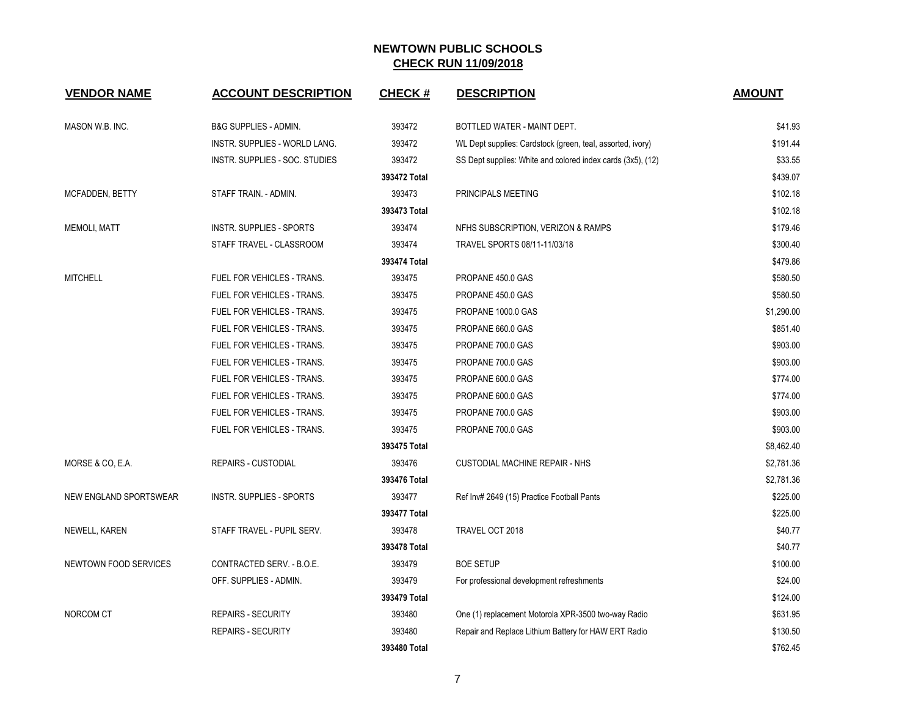| <b>VENDOR NAME</b>            | <b>ACCOUNT DESCRIPTION</b>       | <b>CHECK#</b> | <b>DESCRIPTION</b>                                          | <b>AMOUNT</b> |
|-------------------------------|----------------------------------|---------------|-------------------------------------------------------------|---------------|
| MASON W.B. INC.               | <b>B&amp;G SUPPLIES - ADMIN.</b> | 393472        | BOTTLED WATER - MAINT DEPT.                                 | \$41.93       |
|                               | INSTR. SUPPLIES - WORLD LANG.    | 393472        | WL Dept supplies: Cardstock (green, teal, assorted, ivory)  | \$191.44      |
|                               | INSTR. SUPPLIES - SOC. STUDIES   | 393472        | SS Dept supplies: White and colored index cards (3x5), (12) | \$33.55       |
|                               |                                  | 393472 Total  |                                                             | \$439.07      |
| MCFADDEN, BETTY               | STAFF TRAIN. - ADMIN.            | 393473        | PRINCIPALS MEETING                                          | \$102.18      |
|                               |                                  | 393473 Total  |                                                             | \$102.18      |
| <b>MEMOLI, MATT</b>           | <b>INSTR. SUPPLIES - SPORTS</b>  | 393474        | NFHS SUBSCRIPTION, VERIZON & RAMPS                          | \$179.46      |
|                               | STAFF TRAVEL - CLASSROOM         | 393474        | TRAVEL SPORTS 08/11-11/03/18                                | \$300.40      |
|                               |                                  | 393474 Total  |                                                             | \$479.86      |
| <b>MITCHELL</b>               | FUEL FOR VEHICLES - TRANS.       | 393475        | PROPANE 450.0 GAS                                           | \$580.50      |
|                               | FUEL FOR VEHICLES - TRANS.       | 393475        | PROPANE 450.0 GAS                                           | \$580.50      |
|                               | FUEL FOR VEHICLES - TRANS.       | 393475        | PROPANE 1000.0 GAS                                          | \$1,290.00    |
|                               | FUEL FOR VEHICLES - TRANS.       | 393475        | PROPANE 660.0 GAS                                           | \$851.40      |
|                               | FUEL FOR VEHICLES - TRANS.       | 393475        | PROPANE 700.0 GAS                                           | \$903.00      |
|                               | FUEL FOR VEHICLES - TRANS.       | 393475        | PROPANE 700.0 GAS                                           | \$903.00      |
|                               | FUEL FOR VEHICLES - TRANS.       | 393475        | PROPANE 600.0 GAS                                           | \$774.00      |
|                               | FUEL FOR VEHICLES - TRANS.       | 393475        | PROPANE 600.0 GAS                                           | \$774.00      |
|                               | FUEL FOR VEHICLES - TRANS.       | 393475        | PROPANE 700.0 GAS                                           | \$903.00      |
|                               | FUEL FOR VEHICLES - TRANS.       | 393475        | PROPANE 700.0 GAS                                           | \$903.00      |
|                               |                                  | 393475 Total  |                                                             | \$8,462.40    |
| MORSE & CO, E.A.              | <b>REPAIRS - CUSTODIAL</b>       | 393476        | <b>CUSTODIAL MACHINE REPAIR - NHS</b>                       | \$2,781.36    |
|                               |                                  | 393476 Total  |                                                             | \$2,781.36    |
| <b>NEW ENGLAND SPORTSWEAR</b> | <b>INSTR. SUPPLIES - SPORTS</b>  | 393477        | Ref Inv# 2649 (15) Practice Football Pants                  | \$225.00      |
|                               |                                  | 393477 Total  |                                                             | \$225.00      |
| NEWELL, KAREN                 | STAFF TRAVEL - PUPIL SERV.       | 393478        | TRAVEL OCT 2018                                             | \$40.77       |
|                               |                                  | 393478 Total  |                                                             | \$40.77       |
| NEWTOWN FOOD SERVICES         | CONTRACTED SERV. - B.O.E.        | 393479        | <b>BOE SETUP</b>                                            | \$100.00      |
|                               | OFF. SUPPLIES - ADMIN.           | 393479        | For professional development refreshments                   | \$24.00       |
|                               |                                  | 393479 Total  |                                                             | \$124.00      |
| NORCOM CT                     | <b>REPAIRS - SECURITY</b>        | 393480        | One (1) replacement Motorola XPR-3500 two-way Radio         | \$631.95      |
|                               | <b>REPAIRS - SECURITY</b>        | 393480        | Repair and Replace Lithium Battery for HAW ERT Radio        | \$130.50      |
|                               |                                  | 393480 Total  |                                                             | \$762.45      |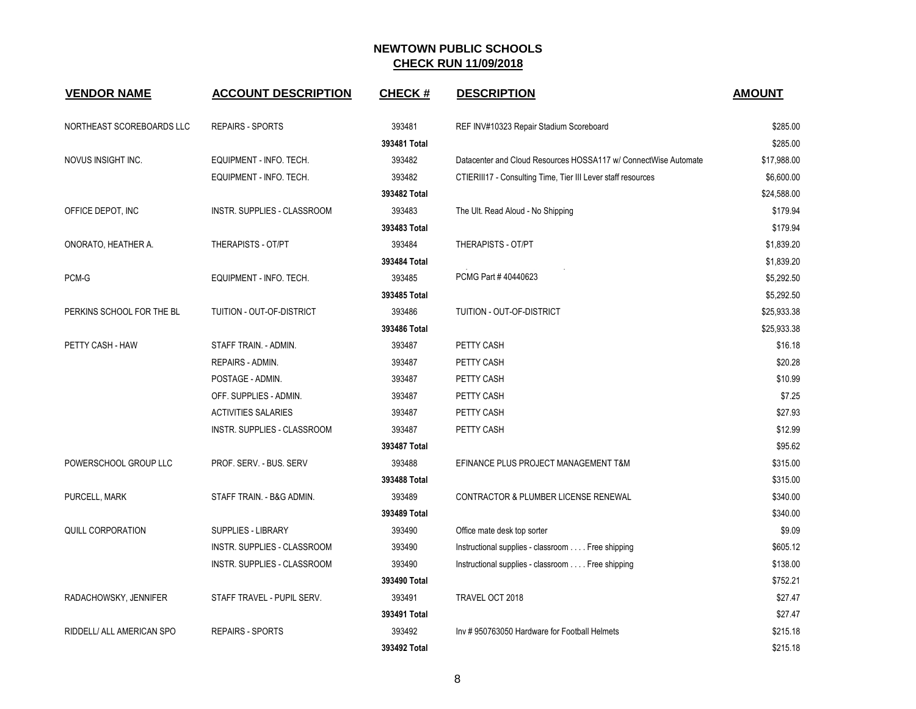| <b>VENDOR NAME</b>        | <b>ACCOUNT DESCRIPTION</b>  | <b>CHECK#</b> | <b>DESCRIPTION</b>                                              | <b>AMOUNT</b> |
|---------------------------|-----------------------------|---------------|-----------------------------------------------------------------|---------------|
| NORTHEAST SCOREBOARDS LLC | <b>REPAIRS - SPORTS</b>     | 393481        | REF INV#10323 Repair Stadium Scoreboard                         | \$285.00      |
|                           |                             | 393481 Total  |                                                                 | \$285.00      |
| NOVUS INSIGHT INC.        | EQUIPMENT - INFO. TECH.     | 393482        | Datacenter and Cloud Resources HOSSA117 w/ ConnectWise Automate | \$17,988.00   |
|                           | EQUIPMENT - INFO. TECH.     | 393482        | CTIERIII17 - Consulting Time, Tier III Lever staff resources    | \$6,600.00    |
|                           |                             | 393482 Total  |                                                                 | \$24,588.00   |
| OFFICE DEPOT, INC         | INSTR. SUPPLIES - CLASSROOM | 393483        | The Ult. Read Aloud - No Shipping                               | \$179.94      |
|                           |                             | 393483 Total  |                                                                 | \$179.94      |
| ONORATO, HEATHER A.       | THERAPISTS - OT/PT          | 393484        | THERAPISTS - OT/PT                                              | \$1,839.20    |
|                           |                             | 393484 Total  |                                                                 | \$1,839.20    |
| PCM-G                     | EQUIPMENT - INFO. TECH.     | 393485        | PCMG Part #40440623                                             | \$5,292.50    |
|                           |                             | 393485 Total  |                                                                 | \$5,292.50    |
| PERKINS SCHOOL FOR THE BL | TUITION - OUT-OF-DISTRICT   | 393486        | TUITION - OUT-OF-DISTRICT                                       | \$25,933.38   |
|                           |                             | 393486 Total  |                                                                 | \$25,933.38   |
| PETTY CASH - HAW          | STAFF TRAIN. - ADMIN.       | 393487        | PETTY CASH                                                      | \$16.18       |
|                           | <b>REPAIRS - ADMIN.</b>     | 393487        | PETTY CASH                                                      | \$20.28       |
|                           | POSTAGE - ADMIN.            | 393487        | PETTY CASH                                                      | \$10.99       |
|                           | OFF. SUPPLIES - ADMIN.      | 393487        | PETTY CASH                                                      | \$7.25        |
|                           | <b>ACTIVITIES SALARIES</b>  | 393487        | PETTY CASH                                                      | \$27.93       |
|                           | INSTR. SUPPLIES - CLASSROOM | 393487        | PETTY CASH                                                      | \$12.99       |
|                           |                             | 393487 Total  |                                                                 | \$95.62       |
| POWERSCHOOL GROUP LLC     | PROF. SERV. - BUS. SERV     | 393488        | EFINANCE PLUS PROJECT MANAGEMENT T&M                            | \$315.00      |
|                           |                             | 393488 Total  |                                                                 | \$315.00      |
| PURCELL, MARK             | STAFF TRAIN. - B&G ADMIN.   | 393489        | CONTRACTOR & PLUMBER LICENSE RENEWAL                            | \$340.00      |
|                           |                             | 393489 Total  |                                                                 | \$340.00      |
| QUILL CORPORATION         | SUPPLIES - LIBRARY          | 393490        | Office mate desk top sorter                                     | \$9.09        |
|                           | INSTR. SUPPLIES - CLASSROOM | 393490        | Instructional supplies - classroom Free shipping                | \$605.12      |
|                           | INSTR. SUPPLIES - CLASSROOM | 393490        | Instructional supplies - classroom Free shipping                | \$138.00      |
|                           |                             | 393490 Total  |                                                                 | \$752.21      |
| RADACHOWSKY, JENNIFER     | STAFF TRAVEL - PUPIL SERV.  | 393491        | TRAVEL OCT 2018                                                 | \$27.47       |
|                           |                             | 393491 Total  |                                                                 | \$27.47       |
| RIDDELL/ ALL AMERICAN SPO | <b>REPAIRS - SPORTS</b>     | 393492        | Inv #950763050 Hardware for Football Helmets                    | \$215.18      |
|                           |                             | 393492 Total  |                                                                 | \$215.18      |